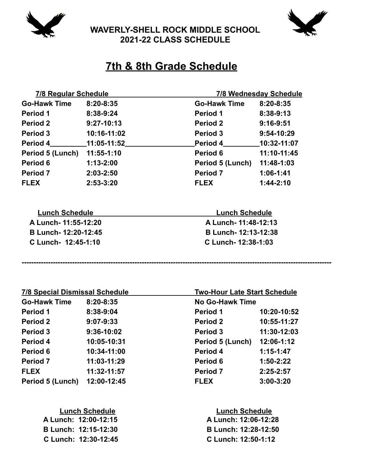

**WAVERLY-SHELL ROCK MIDDLE SCHOOL 2021-22 CLASS SCHEDULE**



## **7th & 8th Grade Schedule**

| 7/8 Regular Schedule  |                 |                         | <b>7/8 Wednesday Schedule</b> |  |  |
|-----------------------|-----------------|-------------------------|-------------------------------|--|--|
| <b>Go-Hawk Time</b>   | 8:20-8:35       | <b>Go-Hawk Time</b>     | 8:20-8:35                     |  |  |
| <b>Period 1</b>       | 8:38-9:24       | <b>Period 1</b>         | 8:38-9:13                     |  |  |
| Period 2              | $9:27-10:13$    | Period 2                | $9:16-9:51$                   |  |  |
| Period 3              | 10:16-11:02     | Period 3                | 9:54-10:29                    |  |  |
| <b>Period 4</b>       | $11:05 - 11:52$ | <b>Period 4</b>         | 10:32-11:07                   |  |  |
| Period 5 (Lunch)      | $11:55 - 1:10$  | Period 6                | 11:10-11:45                   |  |  |
| Period 6              | $1:13 - 2:00$   | <b>Period 5 (Lunch)</b> | 11:48-1:03                    |  |  |
| <b>Period 7</b>       | 2:03-2:50       | Period 7                | $1:06-1:41$                   |  |  |
| <b>FLEX</b>           | 2:53-3:20       | <b>FLEX</b>             | $1:44-2:10$                   |  |  |
|                       |                 |                         |                               |  |  |
| <b>Lunch Schedule</b> |                 | <b>Lunch Schedule</b>   |                               |  |  |
| A Lunch- 11:55-12:20  |                 | A Lunch-11:48-12:13     |                               |  |  |
| B Lunch-12:20-12:45   |                 |                         | B Lunch- 12:13-12:38          |  |  |
| C Lunch- 12:45-1:10   |                 |                         | C Lunch- 12:38-1:03           |  |  |

| <b>7/8 Special Dismissal Schedule</b> |               | <b>Two-Hour Late Start Schedule</b> |               |
|---------------------------------------|---------------|-------------------------------------|---------------|
| <b>Go-Hawk Time</b>                   | 8:20-8:35     | <b>No Go-Hawk Time</b>              |               |
| <b>Period 1</b>                       | 8:38-9:04     | Period 1                            | 10:20-10:52   |
| <b>Period 2</b>                       | $9:07 - 9:33$ | <b>Period 2</b>                     | 10:55-11:27   |
| Period 3                              | 9:36-10:02    | Period 3                            | 11:30-12:03   |
| Period 4                              | 10:05-10:31   | <b>Period 5 (Lunch)</b>             | 12:06-1:12    |
| Period 6                              | 10:34-11:00   | Period 4                            | $1:15-1:47$   |
| <b>Period 7</b>                       | 11:03-11:29   | Period 6                            | $1:50-2:22$   |
| <b>FLEX</b>                           | 11:32-11:57   | <b>Period 7</b>                     | $2:25-2:57$   |
| Period 5 (Lunch)                      | 12:00-12:45   | <b>FLEX</b>                         | $3:00 - 3:20$ |

**---------------------------------------------------------------------------------------------------------------------------------**

| <b>Lunch Schedule</b> | <b>Lunch Schedule</b>       |  |  |
|-----------------------|-----------------------------|--|--|
| A Lunch: 12:00-12:15  | A Lunch: 12:06-12:28        |  |  |
| B Lunch: 12:15-12:30  | <b>B Lunch: 12:28-12:50</b> |  |  |
| C Lunch: 12:30-12:45  | C Lunch: 12:50-1:12         |  |  |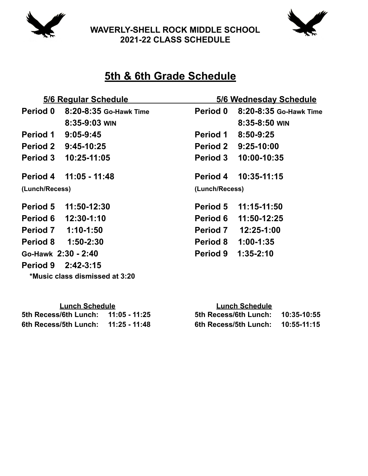

**WAVERLY-SHELL ROCK MIDDLE SCHOOL 2021-22 CLASS SCHEDULE**



## **5th & 6th Grade Schedule**

| 5/6 Regular Schedule |                                | 5/6 Wednesday Schedule |                        |
|----------------------|--------------------------------|------------------------|------------------------|
| <b>Period 0</b>      | 8:20-8:35 Go-Hawk Time         | Period 0               | 8:20-8:35 Go-Hawk Time |
|                      | $8:35-9:03$ WIN                |                        | $8:35-8:50$ WIN        |
| <b>Period 1</b>      | $9:05-9:45$                    | <b>Period 1</b>        | 8:50-9:25              |
|                      | Period 2 9:45-10:25            |                        | Period 2 9:25-10:00    |
|                      | Period 3 10:25-11:05           | <b>Period 3</b>        | 10:00-10:35            |
| Period 4             | 11:05 - 11:48                  | <b>Period 4</b>        | 10:35-11:15            |
| (Lunch/Recess)       |                                | (Lunch/Recess)         |                        |
| Period 5             | 11:50-12:30                    |                        | Period 5 11:15-11:50   |
|                      | Period 6 12:30-1:10            | <b>Period 6</b>        | 11:50-12:25            |
| Period 7 1:10-1:50   |                                | <b>Period 7</b>        | 12:25-1:00             |
|                      | Period 8 1:50-2:30             | <b>Period 8</b>        | $1:00-1:35$            |
| Go-Hawk 2:30 - 2:40  |                                | <b>Period 9</b>        | $1:35-2:10$            |
| Period 9 2:42-3:15   |                                |                        |                        |
|                      | *Music class dismissed at 3:20 |                        |                        |

| <b>Lunch Schedule</b> |               | <b>Lunch Schedule</b> |             |  |  |
|-----------------------|---------------|-----------------------|-------------|--|--|
| 5th Recess/6th Lunch: | 11:05 - 11:25 | 5th Recess/6th Lunch: | 10:35-10:55 |  |  |
| 6th Recess/5th Lunch: | 11:25 - 11:48 | 6th Recess/5th Lunch: | 10:55-11:15 |  |  |